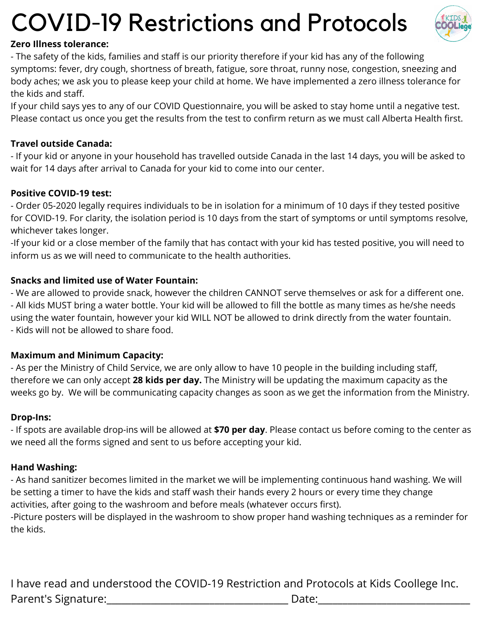# COVID-19 Restrictions and Protocols



#### **Zero Illness tolerance:**

- The safety of the kids, families and staff is our priority therefore if your kid has any of the following symptoms: fever, dry cough, shortness of breath, fatigue, sore throat, runny nose, congestion, sneezing and body aches; we ask you to please keep your child at home. We have implemented a zero illness tolerance for the kids and staff.

If your child says yes to any of our COVID Questionnaire, you will be asked to stay home until a negative test. Please contact us once you get the results from the test to confirm return as we must call Alberta Health first.

#### **Travel outside Canada:**

- If your kid or anyone in your household has travelled outside Canada in the last 14 days, you will be asked to wait for 14 days after arrival to Canada for your kid to come into our center.

#### **Positive COVID-19 test:**

- Order 05-2020 legally requires individuals to be in isolation for a minimum of 10 days if they tested positive for COVID-19. For clarity, the isolation period is 10 days from the start of symptoms or until symptoms resolve, whichever takes longer.

-If your kid or a close member of the family that has contact with your kid has tested positive, you will need to inform us as we will need to communicate to the health authorities.

#### **Snacks and limited use of Water Fountain:**

- We are allowed to provide snack, however the children CANNOT serve themselves or ask for a different one. - All kids MUST bring a water bottle. Your kid will be allowed to fill the bottle as many times as he/she needs using the water fountain, however your kid WILL NOT be allowed to drink directly from the water fountain. - Kids will not be allowed to share food.

#### **Maximum and Minimum Capacity:**

- As per the Ministry of Child Service, we are only allow to have 10 people in the building including staff, therefore we can only accept **28 kids per day.** The Ministry will be updating the maximum capacity as the weeks go by. We will be communicating capacity changes as soon as we get the information from the Ministry.

#### **Drop-Ins:**

- If spots are available drop-ins will be allowed at **\$70 per day**. Please contact us before coming to the center as we need all the forms signed and sent to us before accepting your kid.

#### **Hand Washing:**

- As hand sanitizer becomes limited in the market we will be implementing continuous hand washing. We will be setting a timer to have the kids and staff wash their hands every 2 hours or every time they change activities, after going to the washroom and before meals (whatever occurs first).

-Picture posters will be displayed in the washroom to show proper hand washing techniques as a reminder for the kids.

I have read and understood the COVID-19 Restriction and Protocols at Kids Coollege Inc. Parent's Signature:\_\_\_\_\_\_\_\_\_\_\_\_\_\_\_\_\_\_\_\_\_\_\_\_\_\_\_\_\_\_\_\_\_\_\_\_\_ Date:\_\_\_\_\_\_\_\_\_\_\_\_\_\_\_\_\_\_\_\_\_\_\_\_\_\_\_\_\_\_\_